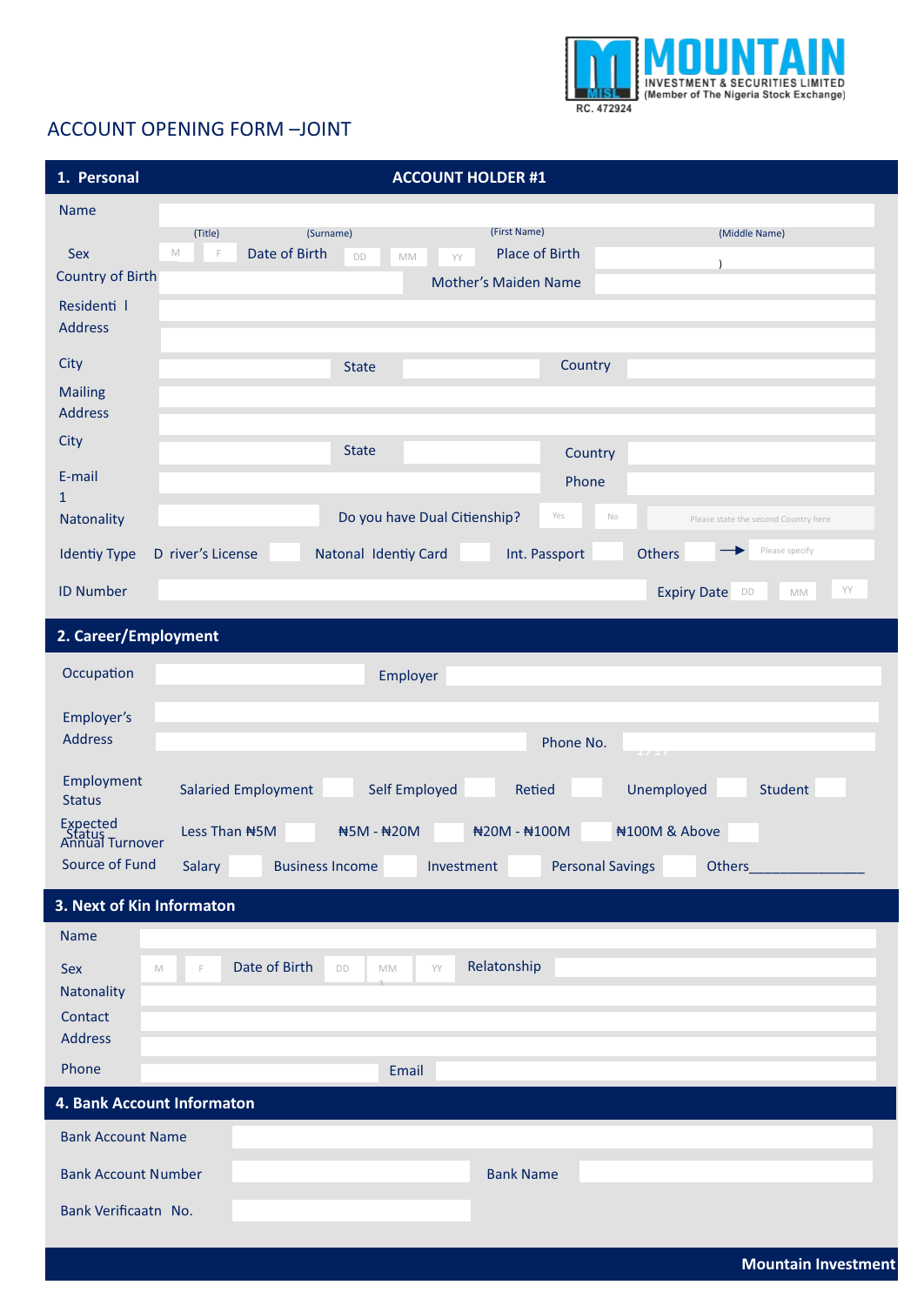

## **ACCOUNT OPENING FORM-JOINT**

| 1. Personal                                                | <b>ACCOUNT HOLDER #1</b>                                                                                                                                           |
|------------------------------------------------------------|--------------------------------------------------------------------------------------------------------------------------------------------------------------------|
| <b>Name</b>                                                |                                                                                                                                                                    |
| Sex<br>$\mathbb M$<br><b>Country of Birth</b>              | (First Name)<br>(Surname)<br>(Middle Name)<br>(Title)<br>Date of Birth<br><b>Place of Birth</b><br>F<br>DD<br>MM<br>YY<br>$\lambda$<br><b>Mother's Maiden Name</b> |
| Residenti I<br><b>Address</b>                              |                                                                                                                                                                    |
| City                                                       | Country<br><b>State</b>                                                                                                                                            |
| <b>Mailing</b><br><b>Address</b>                           |                                                                                                                                                                    |
| City                                                       | <b>State</b><br>Country                                                                                                                                            |
| E-mail<br>$\mathbf{1}$                                     | Phone                                                                                                                                                              |
| Natonality                                                 | Do you have Dual Citienship?<br>Yes<br>$\mathbb{N}\circ$<br>Please state the second Country here                                                                   |
| <b>Identiy Type</b>                                        | Please specify<br>Natonal Identiy Card<br>Int. Passport<br><b>Others</b><br>D river's License                                                                      |
| <b>ID Number</b>                                           | YY<br><b>Expiry Date</b><br>DD<br>MM                                                                                                                               |
| 2. Career/Employment                                       |                                                                                                                                                                    |
| Occupation                                                 | Employer                                                                                                                                                           |
| Employer's<br><b>Address</b>                               | Phone No.<br>17.17                                                                                                                                                 |
| Employment<br><b>Status</b>                                | Self Employed<br><b>Salaried Employment</b><br>Unemployed<br><b>Student</b><br><b>Retied</b>                                                                       |
| Expected<br>Status<br>Annual Turnover                      | #100M & Above<br>Less Than #5M<br>#5M - #20M<br>#20M - #100M                                                                                                       |
| Source of Fund                                             | <b>Personal Savings</b><br>Salary<br><b>Business Income</b><br>Investment                                                                                          |
| 3. Next of Kin Informaton                                  |                                                                                                                                                                    |
| <b>Name</b><br>Sex<br>$\mathbb M$<br>Natonality<br>Contact | Relatonship<br>Date of Birth<br>YY<br>DD<br>F<br>MM                                                                                                                |
| <b>Address</b><br>Phone                                    |                                                                                                                                                                    |
| 4. Bank Account Informaton                                 | Email                                                                                                                                                              |
| <b>Bank Account Name</b>                                   |                                                                                                                                                                    |
| <b>Bank Account Number</b>                                 | <b>Bank Name</b>                                                                                                                                                   |
| Bank Verificaatn No.                                       |                                                                                                                                                                    |
|                                                            |                                                                                                                                                                    |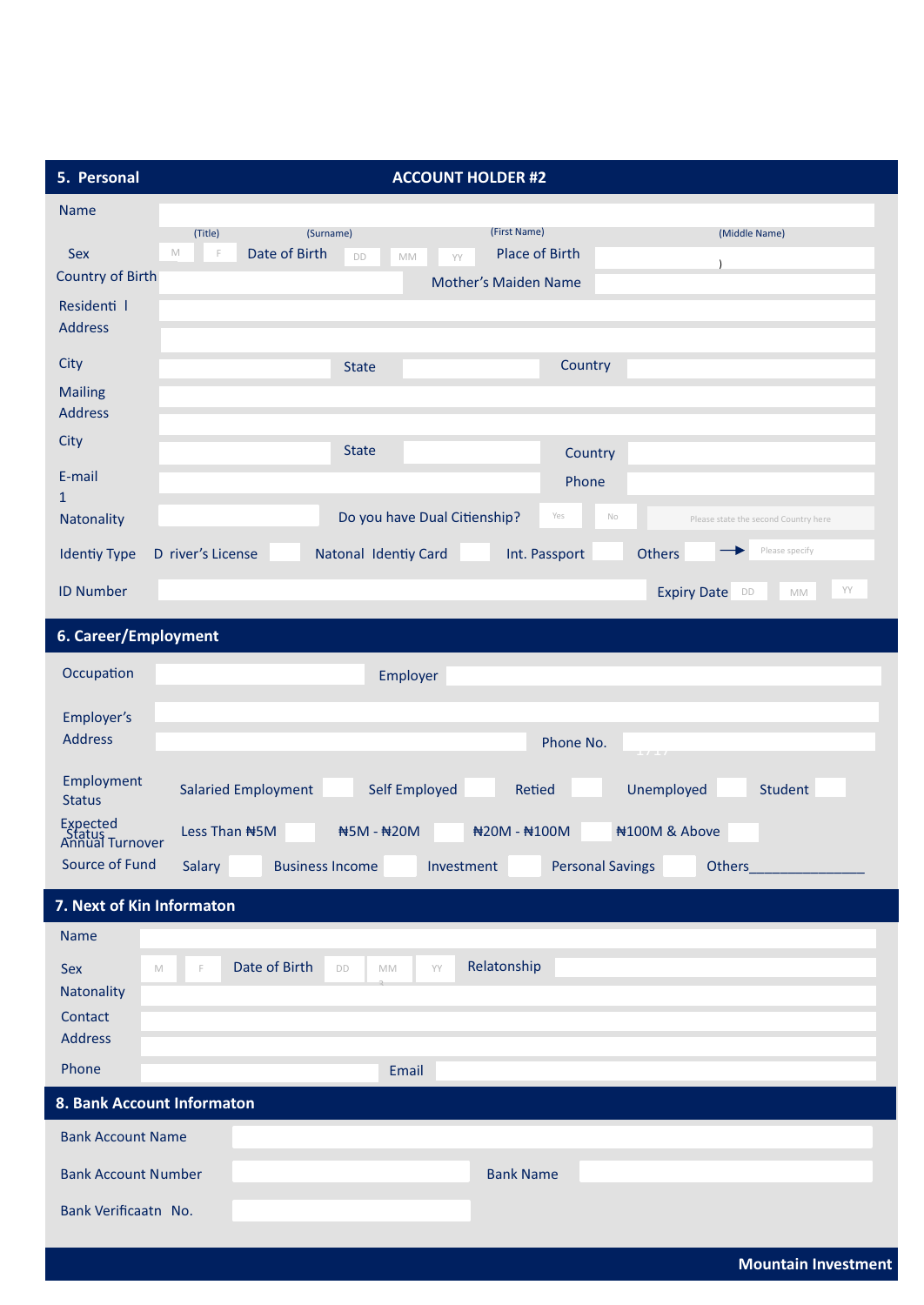| 5. Personal                                                        | <b>ACCOUNT HOLDER #2</b>                                                                                                                                                          |  |  |  |  |
|--------------------------------------------------------------------|-----------------------------------------------------------------------------------------------------------------------------------------------------------------------------------|--|--|--|--|
| <b>Name</b>                                                        |                                                                                                                                                                                   |  |  |  |  |
| Sex<br><b>Country of Birth</b>                                     | (First Name)<br>(Surname)<br>(Title)<br>(Middle Name)<br>Date of Birth<br><b>Place of Birth</b><br>$\mathbb M$<br>F<br>DD<br>MM<br>YY<br>$\lambda$<br><b>Mother's Maiden Name</b> |  |  |  |  |
| Residenti I<br><b>Address</b>                                      |                                                                                                                                                                                   |  |  |  |  |
| City<br><b>Mailing</b><br><b>Address</b>                           | Country<br><b>State</b>                                                                                                                                                           |  |  |  |  |
| City<br>E-mail<br>$\mathbf{1}$                                     | <b>State</b><br>Country<br>Phone                                                                                                                                                  |  |  |  |  |
| Natonality                                                         | Do you have Dual Citienship?<br>Yes<br>$\mathbb{N}\circ$<br>Please state the second Country here                                                                                  |  |  |  |  |
| <b>Identiy Type</b><br><b>ID Number</b>                            | Please specify<br>D river's License<br>Natonal Identiy Card<br>Others<br>Int. Passport<br>YY<br><b>Expiry Date</b><br>DD<br>$\mathbb{M}\mathbb{M}$                                |  |  |  |  |
| 6. Career/Employment                                               |                                                                                                                                                                                   |  |  |  |  |
| Occupation                                                         | Employer                                                                                                                                                                          |  |  |  |  |
| Employer's<br><b>Address</b>                                       | Phone No.<br>$\perp$ / $\perp$ /                                                                                                                                                  |  |  |  |  |
| Employment<br><b>Status</b>                                        | Self Employed<br><b>Salaried Employment</b><br><b>Retied</b><br>Unemployed<br><b>Student</b>                                                                                      |  |  |  |  |
| Expected<br>Status<br>Annual Turnover                              | #100M & Above<br>Less Than #5M<br>#5M - #20M<br>#20M - #100M                                                                                                                      |  |  |  |  |
| Source of Fund                                                     | Salary<br><b>Business Income</b><br><b>Personal Savings</b><br>Others<br>Investment                                                                                               |  |  |  |  |
| 7. Next of Kin Informaton                                          |                                                                                                                                                                                   |  |  |  |  |
| <b>Name</b><br>Sex<br>M<br>Natonality<br>Contact<br><b>Address</b> | Relatonship<br>Date of Birth<br>YY<br>DD<br>MM<br>F                                                                                                                               |  |  |  |  |
| Phone                                                              | Email                                                                                                                                                                             |  |  |  |  |
| 8. Bank Account Informaton                                         |                                                                                                                                                                                   |  |  |  |  |
| <b>Bank Account Name</b>                                           |                                                                                                                                                                                   |  |  |  |  |
| <b>Bank Account Number</b>                                         | <b>Bank Name</b>                                                                                                                                                                  |  |  |  |  |
| Bank Verificaatn No.                                               |                                                                                                                                                                                   |  |  |  |  |